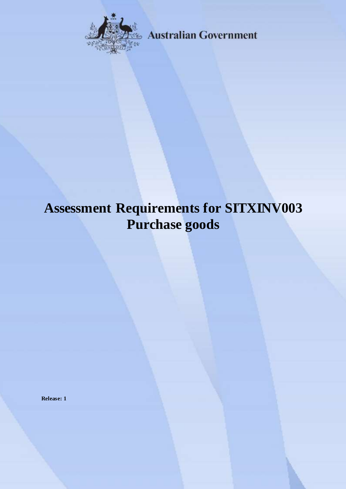

**Australian Government** 

# **Assessment Requirements for SITXINV003 Purchase goods**

**Release: 1**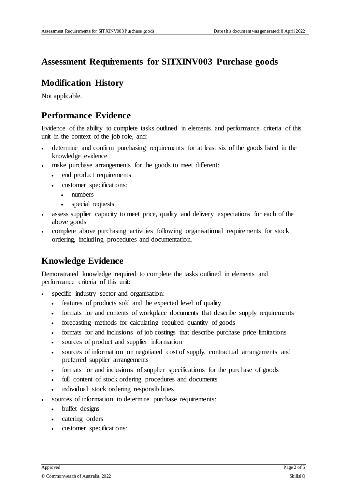## **Assessment Requirements for SITXINV003 Purchase goods**

### **Modification History**

Not applicable.

## **Performance Evidence**

Evidence of the ability to complete tasks outlined in elements and performance criteria of this unit in the context of the job role, and:

- determine and confirm purchasing requirements for at least six of the goods listed in the knowledge evidence
- make purchase arrangements for the goods to meet different:
	- end product requirements
	- customer specifications:
		- numbers
		- special requests
- assess supplier capacity to meet price, quality and delivery expectations for each of the above goods
- complete above purchasing activities following organisational requirements for stock ordering, including procedures and documentation.

## **Knowledge Evidence**

Demonstrated knowledge required to complete the tasks outlined in elements and performance criteria of this unit:

- specific industry sector and organisation:
	- features of products sold and the expected level of quality
	- formats for and contents of workplace documents that describe supply requirements
	- forecasting methods for calculating required quantity of goods
	- formats for and inclusions of job costings that describe purchase price limitations
	- sources of product and supplier information
	- sources of information on negotiated cost of supply, contractual arrangements and preferred supplier arrangements
	- formats for and inclusions of supplier specifications for the purchase of goods
	- full content of stock ordering procedures and documents
	- individual stock ordering responsibilities
- sources of information to determine purchase requirements:
	- buffet designs
	- catering orders
	- customer specifications: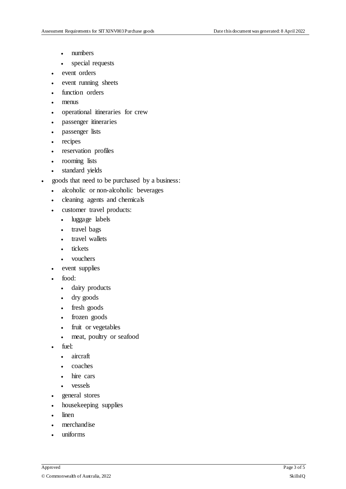- numbers
- special requests
- event orders
- event running sheets
- function orders
- menus
- operational itineraries for crew
- passenger itineraries
- passenger lists
- recipes
- reservation profiles
- rooming lists
- standard yields
- goods that need to be purchased by a business:
	- alcoholic or non-alcoholic beverages
	- cleaning agents and chemicals
	- customer travel products:
		- luggage labels
		- travel bags
		- travel wallets
		- tickets
		- vouchers
	- event supplies
	- food:
		- dairy products
		- dry goods
		- fresh goods
		- frozen goods
		- fruit or vegetables
		- meat, poultry or seafood
	- fuel:
		- aircraft
		- coaches
		- hire cars
		- vessels
	- general stores
	- housekeeping supplies
	- linen
	- merchandise
	- uniforms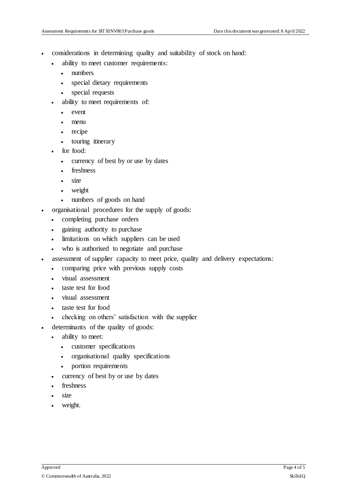- considerations in determining quality and suitability of stock on hand:
	- ability to meet customer requirements:
		- numbers
		- special dietary requirements
		- special requests
	- ability to meet requirements of:
		- event
		- menu
		- recipe
		- touring itinerary
	- for food:
		- currency of best by or use by dates
		- freshness
		- size
		- weight
		- numbers of goods on hand
- organisational procedures for the supply of goods:
	- completing purchase orders
	- gaining authority to purchase
	- limitations on which suppliers can be used
	- who is authorised to negotiate and purchase
- assessment of supplier capacity to meet price, quality and delivery expectations:
	- comparing price with previous supply costs
	- visual assessment
	- taste test for food
	- visual assessment
	- taste test for food
	- checking on others' satisfaction with the supplier
- determinants of the quality of goods:
	- ability to meet:
		- customer specifications
		- organisational quality specifications
		- portion requirements
	- currency of best by or use by dates
	- freshness
	- size
	- weight.